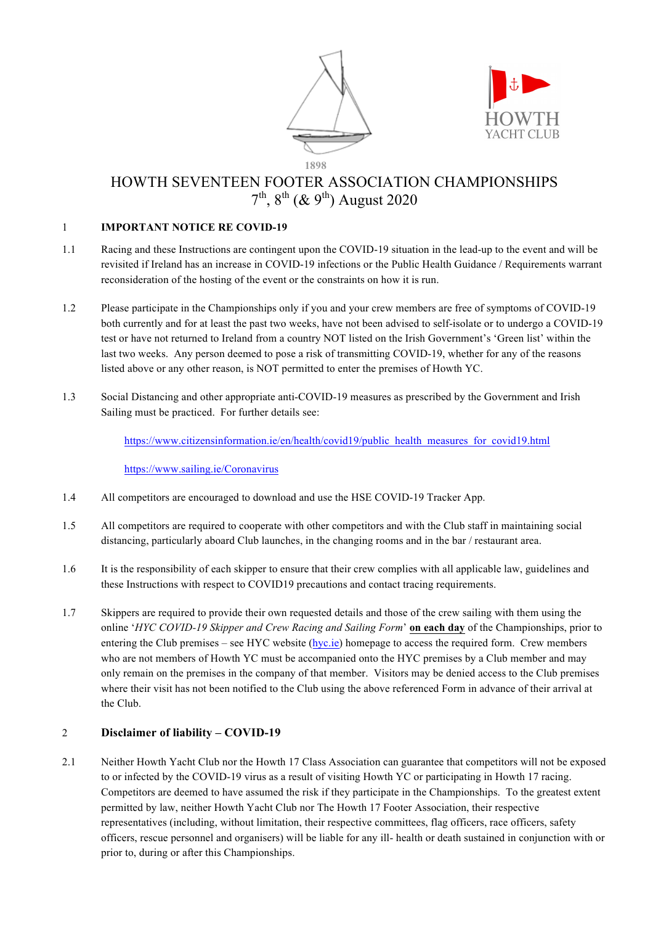



# HOWTH SEVENTEEN FOOTER ASSOCIATION CHAMPIONSHIPS  $7^{th}$ ,  $8^{th}$  (&  $9^{th}$ ) August 2020

# 1 **IMPORTANT NOTICE RE COVID-19**

- 1.1 Racing and these Instructions are contingent upon the COVID-19 situation in the lead-up to the event and will be revisited if Ireland has an increase in COVID-19 infections or the Public Health Guidance / Requirements warrant reconsideration of the hosting of the event or the constraints on how it is run.
- 1.2 Please participate in the Championships only if you and your crew members are free of symptoms of COVID-19 both currently and for at least the past two weeks, have not been advised to self-isolate or to undergo a COVID-19 test or have not returned to Ireland from a country NOT listed on the Irish Government's 'Green list' within the last two weeks. Any person deemed to pose a risk of transmitting COVID-19, whether for any of the reasons listed above or any other reason, is NOT permitted to enter the premises of Howth YC.
- 1.3 Social Distancing and other appropriate anti-COVID-19 measures as prescribed by the Government and Irish Sailing must be practiced. For further details see:

https://www.citizensinformation.ie/en/health/covid19/public\_health\_measures\_for\_covid19.html

#### https://www.sailing.ie/Coronavirus

- 1.4 All competitors are encouraged to download and use the HSE COVID-19 Tracker App.
- 1.5 All competitors are required to cooperate with other competitors and with the Club staff in maintaining social distancing, particularly aboard Club launches, in the changing rooms and in the bar / restaurant area.
- 1.6 It is the responsibility of each skipper to ensure that their crew complies with all applicable law, guidelines and these Instructions with respect to COVID19 precautions and contact tracing requirements.
- 1.7 Skippers are required to provide their own requested details and those of the crew sailing with them using the online '*HYC COVID-19 Skipper and Crew Racing and Sailing Form*' **on each day** of the Championships, prior to entering the Club premises – see HYC website (hyc.ie) homepage to access the required form. Crew members who are not members of Howth YC must be accompanied onto the HYC premises by a Club member and may only remain on the premises in the company of that member. Visitors may be denied access to the Club premises where their visit has not been notified to the Club using the above referenced Form in advance of their arrival at the Club.

# 2 **Disclaimer of liability – COVID-19**

2.1 Neither Howth Yacht Club nor the Howth 17 Class Association can guarantee that competitors will not be exposed to or infected by the COVID-19 virus as a result of visiting Howth YC or participating in Howth 17 racing. Competitors are deemed to have assumed the risk if they participate in the Championships. To the greatest extent permitted by law, neither Howth Yacht Club nor The Howth 17 Footer Association, their respective representatives (including, without limitation, their respective committees, flag officers, race officers, safety officers, rescue personnel and organisers) will be liable for any ill- health or death sustained in conjunction with or prior to, during or after this Championships.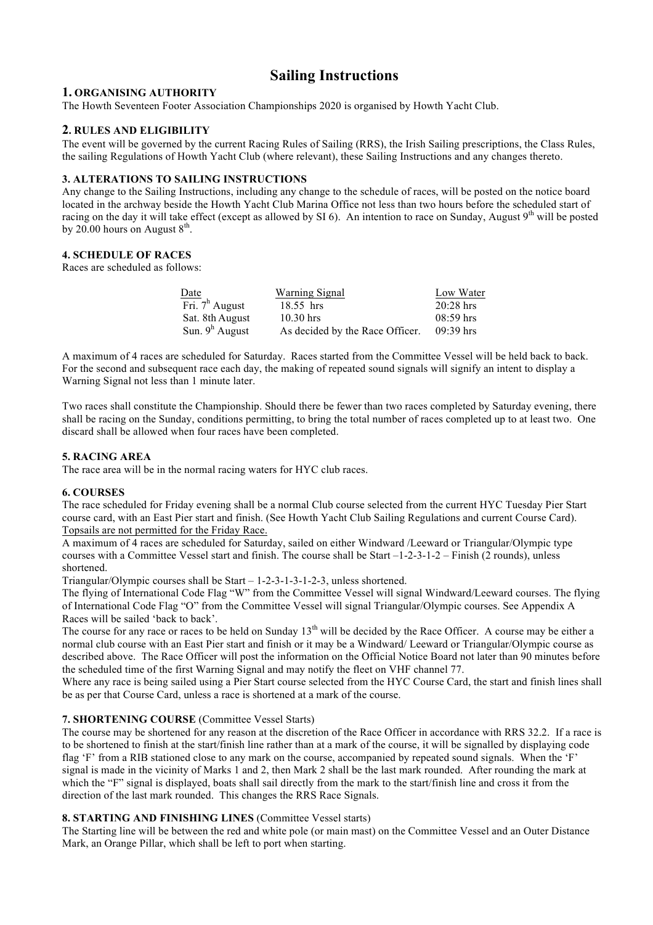# **Sailing Instructions**

# **1. ORGANISING AUTHORITY**

The Howth Seventeen Footer Association Championships 2020 is organised by Howth Yacht Club.

# **2. RULES AND ELIGIBILITY**

The event will be governed by the current Racing Rules of Sailing (RRS), the Irish Sailing prescriptions, the Class Rules, the sailing Regulations of Howth Yacht Club (where relevant), these Sailing Instructions and any changes thereto.

#### **3. ALTERATIONS TO SAILING INSTRUCTIONS**

Any change to the Sailing Instructions, including any change to the schedule of races, will be posted on the notice board located in the archway beside the Howth Yacht Club Marina Office not less than two hours before the scheduled start of racing on the day it will take effect (except as allowed by SI 6). An intention to race on Sunday, August  $9<sup>th</sup>$  will be posted by 20.00 hours on August  $8<sup>th</sup>$ .

## **4. SCHEDULE OF RACES**

Races are scheduled as follows:

| Date              | Warning Signal                  | Low Water   |
|-------------------|---------------------------------|-------------|
| Fri. $7^h$ August | 18.55 hrs                       | $20:28$ hrs |
| Sat. 8th August   | $10.30$ hrs                     | $08:59$ hrs |
| Sun. $9^h$ August | As decided by the Race Officer. | $09:39$ hrs |

A maximum of 4 races are scheduled for Saturday. Races started from the Committee Vessel will be held back to back. For the second and subsequent race each day, the making of repeated sound signals will signify an intent to display a Warning Signal not less than 1 minute later.

Two races shall constitute the Championship. Should there be fewer than two races completed by Saturday evening, there shall be racing on the Sunday, conditions permitting, to bring the total number of races completed up to at least two. One discard shall be allowed when four races have been completed.

#### **5. RACING AREA**

The race area will be in the normal racing waters for HYC club races.

#### **6. COURSES**

The race scheduled for Friday evening shall be a normal Club course selected from the current HYC Tuesday Pier Start course card, with an East Pier start and finish. (See Howth Yacht Club Sailing Regulations and current Course Card). Topsails are not permitted for the Friday Race.

A maximum of 4 races are scheduled for Saturday, sailed on either Windward /Leeward or Triangular/Olympic type courses with a Committee Vessel start and finish. The course shall be Start –1-2-3-1-2 – Finish (2 rounds), unless shortened.

Triangular/Olympic courses shall be Start – 1-2-3-1-3-1-2-3, unless shortened.

The flying of International Code Flag "W" from the Committee Vessel will signal Windward/Leeward courses. The flying of International Code Flag "O" from the Committee Vessel will signal Triangular/Olympic courses. See Appendix A Races will be sailed 'back to back'.

The course for any race or races to be held on Sunday  $13<sup>th</sup>$  will be decided by the Race Officer. A course may be either a normal club course with an East Pier start and finish or it may be a Windward/ Leeward or Triangular/Olympic course as described above. The Race Officer will post the information on the Official Notice Board not later than 90 minutes before the scheduled time of the first Warning Signal and may notify the fleet on VHF channel 77.

Where any race is being sailed using a Pier Start course selected from the HYC Course Card, the start and finish lines shall be as per that Course Card, unless a race is shortened at a mark of the course.

#### **7. SHORTENING COURSE** (Committee Vessel Starts)

The course may be shortened for any reason at the discretion of the Race Officer in accordance with RRS 32.2. If a race is to be shortened to finish at the start/finish line rather than at a mark of the course, it will be signalled by displaying code flag 'F' from a RIB stationed close to any mark on the course, accompanied by repeated sound signals. When the 'F' signal is made in the vicinity of Marks 1 and 2, then Mark 2 shall be the last mark rounded. After rounding the mark at which the "F" signal is displayed, boats shall sail directly from the mark to the start/finish line and cross it from the direction of the last mark rounded. This changes the RRS Race Signals.

#### **8. STARTING AND FINISHING LINES** (Committee Vessel starts)

The Starting line will be between the red and white pole (or main mast) on the Committee Vessel and an Outer Distance Mark, an Orange Pillar, which shall be left to port when starting.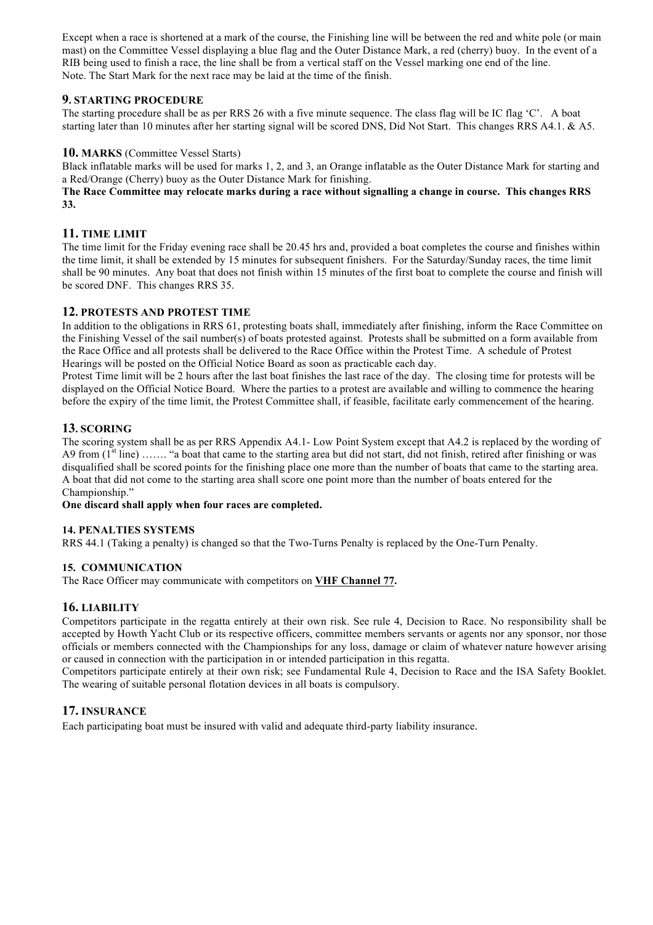Except when a race is shortened at a mark of the course, the Finishing line will be between the red and white pole (or main mast) on the Committee Vessel displaying a blue flag and the Outer Distance Mark, a red (cherry) buoy. In the event of a RIB being used to finish a race, the line shall be from a vertical staff on the Vessel marking one end of the line. Note. The Start Mark for the next race may be laid at the time of the finish.

# **9. STARTING PROCEDURE**

The starting procedure shall be as per RRS 26 with a five minute sequence. The class flag will be IC flag 'C'. A boat starting later than 10 minutes after her starting signal will be scored DNS, Did Not Start. This changes RRS A4.1. & A5.

## **10. MARKS** (Committee Vessel Starts)

Black inflatable marks will be used for marks 1, 2, and 3, an Orange inflatable as the Outer Distance Mark for starting and a Red/Orange (Cherry) buoy as the Outer Distance Mark for finishing.

## **The Race Committee may relocate marks during a race without signalling a change in course. This changes RRS 33.**

# **11. TIME LIMIT**

The time limit for the Friday evening race shall be 20.45 hrs and, provided a boat completes the course and finishes within the time limit, it shall be extended by 15 minutes for subsequent finishers. For the Saturday/Sunday races, the time limit shall be 90 minutes. Any boat that does not finish within 15 minutes of the first boat to complete the course and finish will be scored DNF. This changes RRS 35.

# **12. PROTESTS AND PROTEST TIME**

In addition to the obligations in RRS 61, protesting boats shall, immediately after finishing, inform the Race Committee on the Finishing Vessel of the sail number(s) of boats protested against. Protests shall be submitted on a form available from the Race Office and all protests shall be delivered to the Race Office within the Protest Time. A schedule of Protest Hearings will be posted on the Official Notice Board as soon as practicable each day.

Protest Time limit will be 2 hours after the last boat finishes the last race of the day. The closing time for protests will be displayed on the Official Notice Board. Where the parties to a protest are available and willing to commence the hearing before the expiry of the time limit, the Protest Committee shall, if feasible, facilitate early commencement of the hearing.

# **13. SCORING**

The scoring system shall be as per RRS Appendix A4.1- Low Point System except that A4.2 is replaced by the wording of A9 from  $(1<sup>st</sup> line)$  ...... "a boat that came to the starting area but did not start, did not finish, retired after finishing or was disqualified shall be scored points for the finishing place one more than the number of boats that came to the starting area. A boat that did not come to the starting area shall score one point more than the number of boats entered for the Championship."

#### **One discard shall apply when four races are completed.**

#### **14. PENALTIES SYSTEMS**

RRS 44.1 (Taking a penalty) is changed so that the Two-Turns Penalty is replaced by the One-Turn Penalty.

#### **15. COMMUNICATION**

The Race Officer may communicate with competitors on **VHF Channel 77.**

# **16. LIABILITY**

Competitors participate in the regatta entirely at their own risk. See rule 4, Decision to Race. No responsibility shall be accepted by Howth Yacht Club or its respective officers, committee members servants or agents nor any sponsor, nor those officials or members connected with the Championships for any loss, damage or claim of whatever nature however arising or caused in connection with the participation in or intended participation in this regatta.

Competitors participate entirely at their own risk; see Fundamental Rule 4, Decision to Race and the ISA Safety Booklet. The wearing of suitable personal flotation devices in all boats is compulsory.

# **17. INSURANCE**

Each participating boat must be insured with valid and adequate third-party liability insurance.